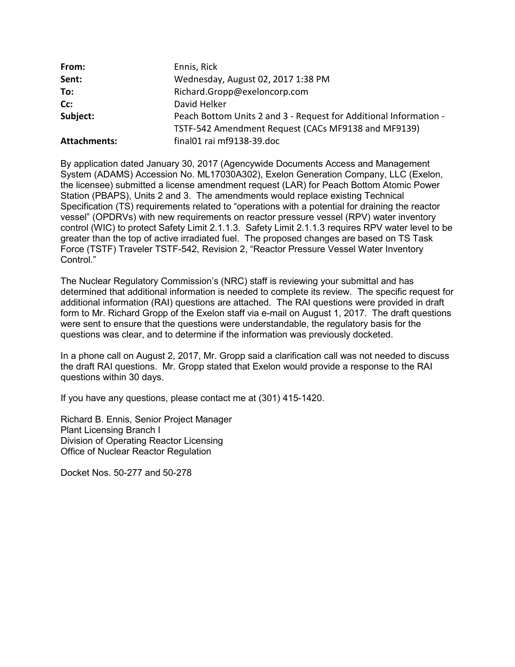| From:               | Ennis, Rick                                                       |
|---------------------|-------------------------------------------------------------------|
| Sent:               | Wednesday, August 02, 2017 1:38 PM                                |
| To:                 | Richard.Gropp@exeloncorp.com                                      |
| Cc:                 | David Helker                                                      |
| Subject:            | Peach Bottom Units 2 and 3 - Request for Additional Information - |
|                     | TSTF-542 Amendment Request (CACs MF9138 and MF9139)               |
| <b>Attachments:</b> | final01 rai mf9138-39.doc                                         |

By application dated January 30, 2017 (Agencywide Documents Access and Management System (ADAMS) Accession No. ML17030A302), Exelon Generation Company, LLC (Exelon, the licensee) submitted a license amendment request (LAR) for Peach Bottom Atomic Power Station (PBAPS), Units 2 and 3. The amendments would replace existing Technical Specification (TS) requirements related to "operations with a potential for draining the reactor vessel" (OPDRVs) with new requirements on reactor pressure vessel (RPV) water inventory control (WIC) to protect Safety Limit 2.1.1.3. Safety Limit 2.1.1.3 requires RPV water level to be greater than the top of active irradiated fuel. The proposed changes are based on TS Task Force (TSTF) Traveler TSTF-542, Revision 2, "Reactor Pressure Vessel Water Inventory Control."

The Nuclear Regulatory Commission's (NRC) staff is reviewing your submittal and has determined that additional information is needed to complete its review. The specific request for additional information (RAI) questions are attached. The RAI questions were provided in draft form to Mr. Richard Gropp of the Exelon staff via e-mail on August 1, 2017. The draft questions were sent to ensure that the questions were understandable, the regulatory basis for the questions was clear, and to determine if the information was previously docketed.

In a phone call on August 2, 2017, Mr. Gropp said a clarification call was not needed to discuss the draft RAI questions. Mr. Gropp stated that Exelon would provide a response to the RAI questions within 30 days.

If you have any questions, please contact me at (301) 415-1420.

Richard B. Ennis, Senior Project Manager Plant Licensing Branch I Division of Operating Reactor Licensing Office of Nuclear Reactor Regulation

Docket Nos. 50-277 and 50-278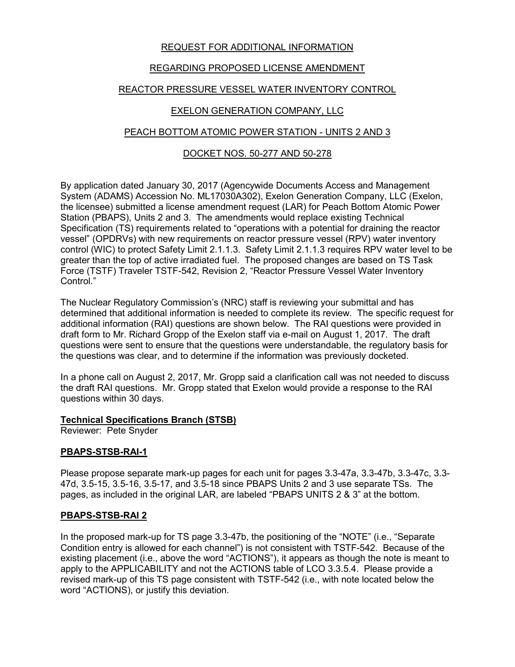## REQUEST FOR ADDITIONAL INFORMATION

# REGARDING PROPOSED LICENSE AMENDMENT

# REACTOR PRESSURE VESSEL WATER INVENTORY CONTROL

## EXELON GENERATION COMPANY, LLC

## PEACH BOTTOM ATOMIC POWER STATION - UNITS 2 AND 3

### DOCKET NOS. 50-277 AND 50-278

By application dated January 30, 2017 (Agencywide Documents Access and Management System (ADAMS) Accession No. ML17030A302), Exelon Generation Company, LLC (Exelon, the licensee) submitted a license amendment request (LAR) for Peach Bottom Atomic Power Station (PBAPS), Units 2 and 3. The amendments would replace existing Technical Specification (TS) requirements related to "operations with a potential for draining the reactor vessel" (OPDRVs) with new requirements on reactor pressure vessel (RPV) water inventory control (WIC) to protect Safety Limit 2.1.1.3. Safety Limit 2.1.1.3 requires RPV water level to be greater than the top of active irradiated fuel. The proposed changes are based on TS Task Force (TSTF) Traveler TSTF-542, Revision 2, "Reactor Pressure Vessel Water Inventory Control."

The Nuclear Regulatory Commission's (NRC) staff is reviewing your submittal and has determined that additional information is needed to complete its review. The specific request for additional information (RAI) questions are shown below. The RAI questions were provided in draft form to Mr. Richard Gropp of the Exelon staff via e-mail on August 1, 2017. The draft questions were sent to ensure that the questions were understandable, the regulatory basis for the questions was clear, and to determine if the information was previously docketed.

In a phone call on August 2, 2017, Mr. Gropp said a clarification call was not needed to discuss the draft RAI questions. Mr. Gropp stated that Exelon would provide a response to the RAI questions within 30 days.

### **Technical Specifications Branch (STSB)**

Reviewer: Pete Snyder

### **PBAPS-STSB-RAI-1**

Please propose separate mark-up pages for each unit for pages 3.3-47a, 3.3-47b, 3.3-47c, 3.3- 47d, 3.5-15, 3.5-16, 3.5-17, and 3.5-18 since PBAPS Units 2 and 3 use separate TSs. The pages, as included in the original LAR, are labeled "PBAPS UNITS 2 & 3" at the bottom.

### **PBAPS-STSB-RAI 2**

In the proposed mark-up for TS page 3.3-47b, the positioning of the "NOTE" (i.e., "Separate Condition entry is allowed for each channel") is not consistent with TSTF-542. Because of the existing placement (i.e., above the word "ACTIONS"), it appears as though the note is meant to apply to the APPLICABILITY and not the ACTIONS table of LCO 3.3.5.4. Please provide a revised mark-up of this TS page consistent with TSTF-542 (i.e., with note located below the word "ACTIONS), or justify this deviation.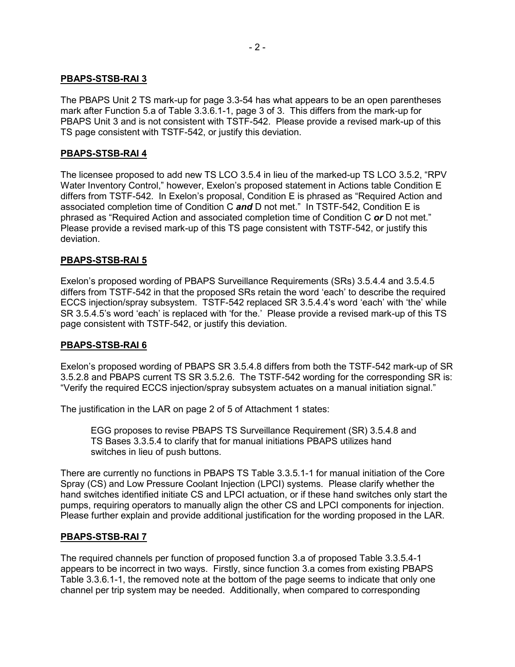#### **PBAPS-STSB-RAI 3**

The PBAPS Unit 2 TS mark-up for page 3.3-54 has what appears to be an open parentheses mark after Function 5.a of Table 3.3.6.1-1, page 3 of 3. This differs from the mark-up for PBAPS Unit 3 and is not consistent with TSTF-542. Please provide a revised mark-up of this TS page consistent with TSTF-542, or justify this deviation.

#### **PBAPS-STSB-RAI 4**

The licensee proposed to add new TS LCO 3.5.4 in lieu of the marked-up TS LCO 3.5.2, "RPV Water Inventory Control," however, Exelon's proposed statement in Actions table Condition E differs from TSTF-542. In Exelon's proposal, Condition E is phrased as "Required Action and associated completion time of Condition C *and* D not met." In TSTF-542, Condition E is phrased as "Required Action and associated completion time of Condition C *or* D not met." Please provide a revised mark-up of this TS page consistent with TSTF-542, or justify this deviation.

#### **PBAPS-STSB-RAI 5**

Exelon's proposed wording of PBAPS Surveillance Requirements (SRs) 3.5.4.4 and 3.5.4.5 differs from TSTF-542 in that the proposed SRs retain the word 'each' to describe the required ECCS injection/spray subsystem. TSTF-542 replaced SR 3.5.4.4's word 'each' with 'the' while SR 3.5.4.5's word 'each' is replaced with 'for the.' Please provide a revised mark-up of this TS page consistent with TSTF-542, or justify this deviation.

### **PBAPS-STSB-RAI 6**

Exelon's proposed wording of PBAPS SR 3.5.4.8 differs from both the TSTF-542 mark-up of SR 3.5.2.8 and PBAPS current TS SR 3.5.2.6. The TSTF-542 wording for the corresponding SR is: "Verify the required ECCS injection/spray subsystem actuates on a manual initiation signal."

The justification in the LAR on page 2 of 5 of Attachment 1 states:

EGG proposes to revise PBAPS TS Surveillance Requirement (SR) 3.5.4.8 and TS Bases 3.3.5.4 to clarify that for manual initiations PBAPS utilizes hand switches in lieu of push buttons.

There are currently no functions in PBAPS TS Table 3.3.5.1-1 for manual initiation of the Core Spray (CS) and Low Pressure Coolant Injection (LPCI) systems. Please clarify whether the hand switches identified initiate CS and LPCI actuation, or if these hand switches only start the pumps, requiring operators to manually align the other CS and LPCI components for injection. Please further explain and provide additional justification for the wording proposed in the LAR.

### **PBAPS-STSB-RAI 7**

The required channels per function of proposed function 3.a of proposed Table 3.3.5.4-1 appears to be incorrect in two ways. Firstly, since function 3.a comes from existing PBAPS Table 3.3.6.1-1, the removed note at the bottom of the page seems to indicate that only one channel per trip system may be needed. Additionally, when compared to corresponding